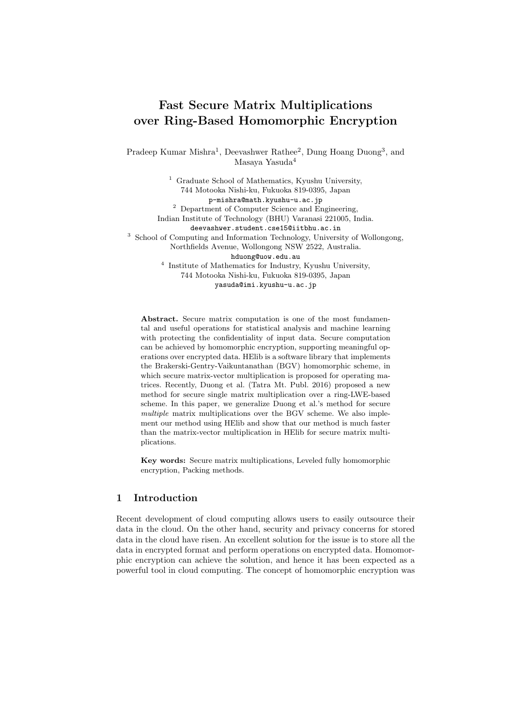# Fast Secure Matrix Multiplications over Ring-Based Homomorphic Encryption

Pradeep Kumar Mishra<sup>1</sup>, Deevashwer Rathee<sup>2</sup>, Dung Hoang Duong<sup>3</sup>, and Masaya Yasuda<sup>4</sup>

<sup>1</sup> Graduate School of Mathematics, Kyushu University, 744 Motooka Nishi-ku, Fukuoka 819-0395, Japan p-mishra@math.kyushu-u.ac.jp <sup>2</sup> Department of Computer Science and Engineering, Indian Institute of Technology (BHU) Varanasi 221005, India. deevashwer.student.cse15@iitbhu.ac.in <sup>3</sup> School of Computing and Information Technology, University of Wollongong, Northfields Avenue, Wollongong NSW 2522, Australia. hduong@uow.edu.au 4 Institute of Mathematics for Industry, Kyushu University, 744 Motooka Nishi-ku, Fukuoka 819-0395, Japan yasuda@imi.kyushu-u.ac.jp

Abstract. Secure matrix computation is one of the most fundamental and useful operations for statistical analysis and machine learning with protecting the confidentiality of input data. Secure computation can be achieved by homomorphic encryption, supporting meaningful operations over encrypted data. HElib is a software library that implements the Brakerski-Gentry-Vaikuntanathan (BGV) homomorphic scheme, in which secure matrix-vector multiplication is proposed for operating matrices. Recently, Duong et al. (Tatra Mt. Publ. 2016) proposed a new method for secure single matrix multiplication over a ring-LWE-based scheme. In this paper, we generalize Duong et al.'s method for secure multiple matrix multiplications over the BGV scheme. We also implement our method using HElib and show that our method is much faster than the matrix-vector multiplication in HElib for secure matrix multiplications.

Key words: Secure matrix multiplications, Leveled fully homomorphic encryption, Packing methods.

# 1 Introduction

Recent development of cloud computing allows users to easily outsource their data in the cloud. On the other hand, security and privacy concerns for stored data in the cloud have risen. An excellent solution for the issue is to store all the data in encrypted format and perform operations on encrypted data. Homomorphic encryption can achieve the solution, and hence it has been expected as a powerful tool in cloud computing. The concept of homomorphic encryption was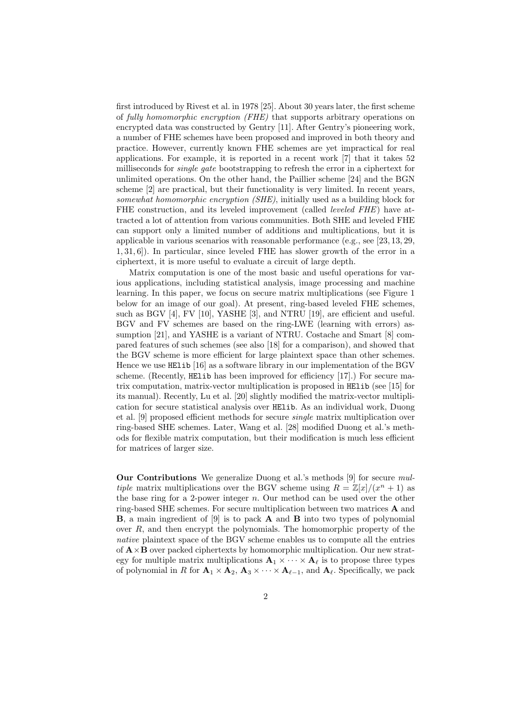first introduced by Rivest et al. in 1978 [25]. About 30 years later, the first scheme of fully homomorphic encryption (FHE) that supports arbitrary operations on encrypted data was constructed by Gentry [11]. After Gentry's pioneering work, a number of FHE schemes have been proposed and improved in both theory and practice. However, currently known FHE schemes are yet impractical for real applications. For example, it is reported in a recent work [7] that it takes 52 milliseconds for single gate bootstrapping to refresh the error in a ciphertext for unlimited operations. On the other hand, the Paillier scheme [24] and the BGN scheme [2] are practical, but their functionality is very limited. In recent years, somewhat homomorphic encryption (SHE), initially used as a building block for FHE construction, and its leveled improvement (called *leveled FHE*) have attracted a lot of attention from various communities. Both SHE and leveled FHE can support only a limited number of additions and multiplications, but it is applicable in various scenarios with reasonable performance (e.g., see [23, 13, 29, 1, 31, 6]). In particular, since leveled FHE has slower growth of the error in a ciphertext, it is more useful to evaluate a circuit of large depth.

Matrix computation is one of the most basic and useful operations for various applications, including statistical analysis, image processing and machine learning. In this paper, we focus on secure matrix multiplications (see Figure 1 below for an image of our goal). At present, ring-based leveled FHE schemes, such as BGV [4], FV [10], YASHE [3], and NTRU [19], are efficient and useful. BGV and FV schemes are based on the ring-LWE (learning with errors) assumption [21], and YASHE is a variant of NTRU. Costache and Smart [8] compared features of such schemes (see also [18] for a comparison), and showed that the BGV scheme is more efficient for large plaintext space than other schemes. Hence we use HElib [16] as a software library in our implementation of the BGV scheme. (Recently, HElib has been improved for efficiency [17].) For secure matrix computation, matrix-vector multiplication is proposed in HElib (see [15] for its manual). Recently, Lu et al. [20] slightly modified the matrix-vector multiplication for secure statistical analysis over HElib. As an individual work, Duong et al. [9] proposed efficient methods for secure single matrix multiplication over ring-based SHE schemes. Later, Wang et al. [28] modified Duong et al.'s methods for flexible matrix computation, but their modification is much less efficient for matrices of larger size.

Our Contributions We generalize Duong et al.'s methods [9] for secure multiple matrix multiplications over the BGV scheme using  $R = \mathbb{Z}[x]/(x^n + 1)$  as the base ring for a 2-power integer  $n$ . Our method can be used over the other ring-based SHE schemes. For secure multiplication between two matrices  $\bf{A}$  and **B**, a main ingredient of [9] is to pack **A** and **B** into two types of polynomial over R, and then encrypt the polynomials. The homomorphic property of the native plaintext space of the BGV scheme enables us to compute all the entries of  $\mathbf{A} \times \mathbf{B}$  over packed ciphertexts by homomorphic multiplication. Our new strategy for multiple matrix multiplications  $\mathbf{A}_1 \times \cdots \times \mathbf{A}_{\ell}$  is to propose three types of polynomial in R for  $\mathbf{A}_1 \times \mathbf{A}_2$ ,  $\mathbf{A}_3 \times \cdots \times \mathbf{A}_{\ell-1}$ , and  $\mathbf{A}_{\ell}$ . Specifically, we pack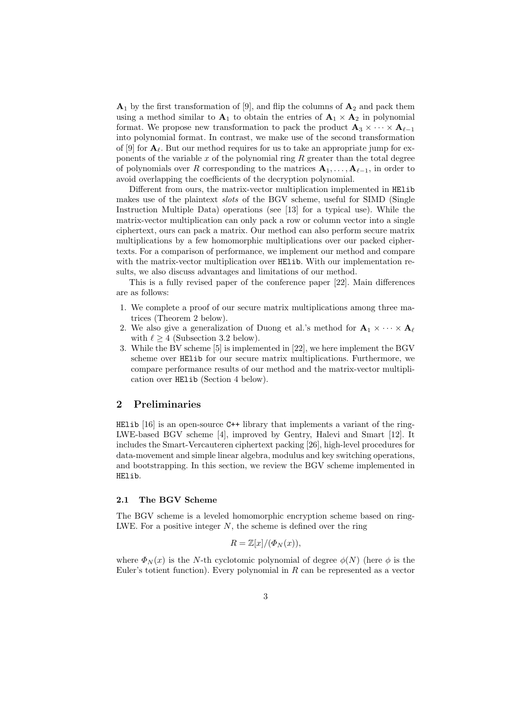$\mathbf{A}_1$  by the first transformation of [9], and flip the columns of  $\mathbf{A}_2$  and pack them using a method similar to  $A_1$  to obtain the entries of  $A_1 \times A_2$  in polynomial format. We propose new transformation to pack the product  $\mathbf{A}_3 \times \cdots \times \mathbf{A}_{\ell-1}$ into polynomial format. In contrast, we make use of the second transformation of [9] for  $\mathbf{A}_{\ell}$ . But our method requires for us to take an appropriate jump for exponents of the variable  $x$  of the polynomial ring  $R$  greater than the total degree of polynomials over R corresponding to the matrices  $A_1, \ldots, A_{\ell-1}$ , in order to avoid overlapping the coefficients of the decryption polynomial.

Different from ours, the matrix-vector multiplication implemented in HElib makes use of the plaintext slots of the BGV scheme, useful for SIMD (Single Instruction Multiple Data) operations (see [13] for a typical use). While the matrix-vector multiplication can only pack a row or column vector into a single ciphertext, ours can pack a matrix. Our method can also perform secure matrix multiplications by a few homomorphic multiplications over our packed ciphertexts. For a comparison of performance, we implement our method and compare with the matrix-vector multiplication over HE1ib. With our implementation results, we also discuss advantages and limitations of our method.

This is a fully revised paper of the conference paper [22]. Main differences are as follows:

- 1. We complete a proof of our secure matrix multiplications among three matrices (Theorem 2 below).
- 2. We also give a generalization of Duong et al.'s method for  $\mathbf{A}_1 \times \cdots \times \mathbf{A}_\ell$ with  $\ell > 4$  (Subsection 3.2 below).
- 3. While the BV scheme [5] is implemented in [22], we here implement the BGV scheme over HElib for our secure matrix multiplications. Furthermore, we compare performance results of our method and the matrix-vector multiplication over HElib (Section 4 below).

# 2 Preliminaries

HELID  $[16]$  is an open-source C++ library that implements a variant of the ring-LWE-based BGV scheme [4], improved by Gentry, Halevi and Smart [12]. It includes the Smart-Vercauteren ciphertext packing [26], high-level procedures for data-movement and simple linear algebra, modulus and key switching operations, and bootstrapping. In this section, we review the BGV scheme implemented in HElib.

## 2.1 The BGV Scheme

The BGV scheme is a leveled homomorphic encryption scheme based on ring-LWE. For a positive integer  $N$ , the scheme is defined over the ring

$$
R = \mathbb{Z}[x]/(\Phi_N(x)),
$$

where  $\Phi_N(x)$  is the N-th cyclotomic polynomial of degree  $\phi(N)$  (here  $\phi$  is the Euler's totient function). Every polynomial in  $R$  can be represented as a vector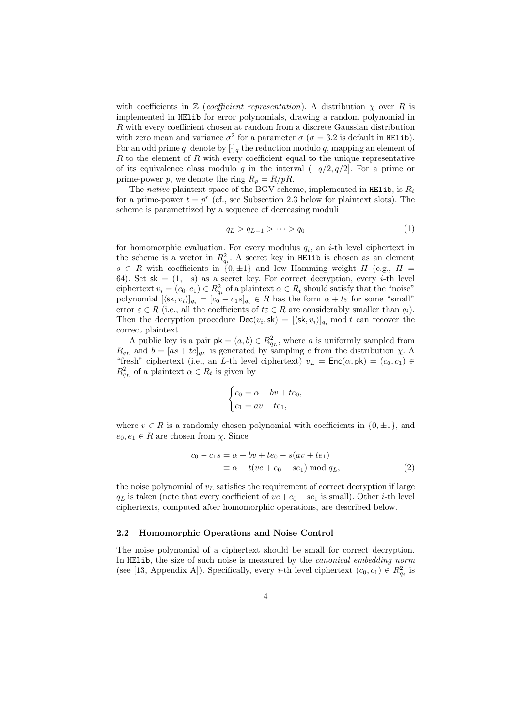with coefficients in  $\mathbb Z$  (coefficient representation). A distribution  $\chi$  over R is implemented in HElib for error polynomials, drawing a random polynomial in R with every coefficient chosen at random from a discrete Gaussian distribution with zero mean and variance  $\sigma^2$  for a parameter  $\sigma$  ( $\sigma = 3.2$  is default in HElib). For an odd prime q, denote by  $[\cdot]_q$  the reduction modulo q, mapping an element of  $R$  to the element of  $R$  with every coefficient equal to the unique representative of its equivalence class modulo q in the interval  $(-q/2, q/2]$ . For a prime or prime-power p, we denote the ring  $R_p = R/pR$ .

The native plaintext space of the BGV scheme, implemented in HElib, is  $R_t$ for a prime-power  $t = p^r$  (cf., see Subsection 2.3 below for plaintext slots). The scheme is parametrized by a sequence of decreasing moduli

$$
q_L > q_{L-1} > \cdots > q_0 \tag{1}
$$

for homomorphic evaluation. For every modulus  $q_i$ , an *i*-th level ciphertext in the scheme is a vector in  $R_{q_i}^2$ . A secret key in HElib is chosen as an element  $s \in R$  with coefficients in  $\{0, \pm 1\}$  and low Hamming weight H (e.g., H = 64). Set sk =  $(1, -s)$  as a secret key. For correct decryption, every *i*-th level ciphertext  $v_i = (c_0, c_1) \in R_{q_i}^2$  of a plaintext  $\alpha \in R_t$  should satisfy that the "noise" polynomial  $[\langle \mathsf{sk}, v_i \rangle]_{q_i} = [c_0 - c_1 s]_{q_i} \in R$  has the form  $\alpha + t\epsilon$  for some "small" error  $\varepsilon \in R$  (i.e., all the coefficients of  $t \in R$  are considerably smaller than  $q_i$ ). Then the decryption procedure  $\mathsf{Dec}(v_i, \mathsf{sk}) = [\langle \mathsf{sk}, v_i \rangle]_{q_i} \text{ mod } t$  can recover the correct plaintext.

A public key is a pair  $\mathsf{pk} = (a, b) \in R_{q_L}^2$ , where a is uniformly sampled from  $R_{q_L}$  and  $b = [as + te]_{q_L}$  is generated by sampling e from the distribution  $\chi$ . A "fresh" ciphertext (i.e., an L-th level ciphertext)  $v_L = \mathsf{Enc}(\alpha, \mathsf{pk}) = (c_0, c_1) \in$  $R_{q_L}^2$  of a plaintext  $\alpha \in R_t$  is given by

$$
\begin{cases} c_0 = \alpha + bv + te_0, \\ c_1 = av + te_1, \end{cases}
$$

where  $v \in R$  is a randomly chosen polynomial with coefficients in  $\{0, \pm 1\}$ , and  $e_0, e_1 \in R$  are chosen from  $\chi$ . Since

$$
c_0 - c_1 s = \alpha + bv + te_0 - s(av + te_1)
$$
  

$$
\equiv \alpha + t(ve + e_0 - se_1) \bmod q_L,
$$
 (2)

the noise polynomial of  $v<sub>L</sub>$  satisfies the requirement of correct decryption if large  $q_L$  is taken (note that every coefficient of  $ve+e_0 - se_1$  is small). Other *i*-th level ciphertexts, computed after homomorphic operations, are described below.

#### 2.2 Homomorphic Operations and Noise Control

The noise polynomial of a ciphertext should be small for correct decryption. In HElib, the size of such noise is measured by the canonical embedding norm (see [13, Appendix A]). Specifically, every *i*-th level ciphertext  $(c_0, c_1) \in R_{q_i}^2$  is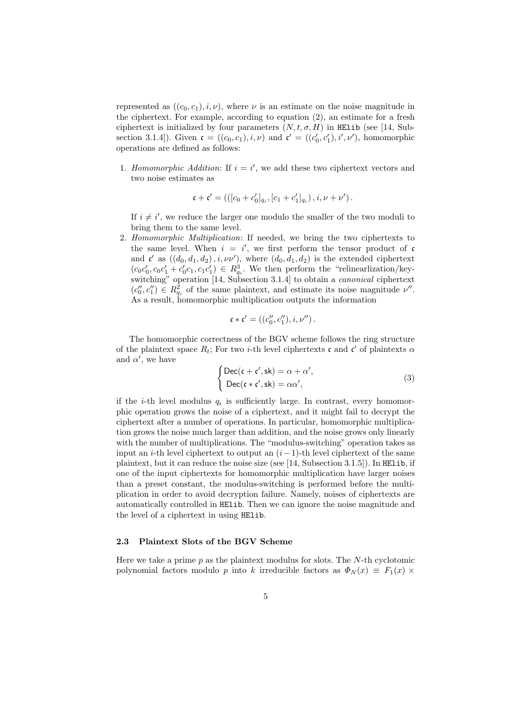represented as  $((c_0, c_1), i, \nu)$ , where  $\nu$  is an estimate on the noise magnitude in the ciphertext. For example, according to equation (2), an estimate for a fresh ciphertext is initialized by four parameters  $(N, t, \sigma, H)$  in HElib (see [14, Subsection 3.1.4]). Given  $\mathfrak{c} = ((c_0, c_1), i, \nu)$  and  $\mathfrak{c}' = ((c'_0, c'_1), i', \nu')$ , homomorphic operations are defined as follows:

1. Homomorphic Addition: If  $i = i'$ , we add these two ciphertext vectors and two noise estimates as

$$
\mathfrak{c} + \mathfrak{c}' = \left( \left( [c_0 + c'_0]_{q_i}, [c_1 + c'_1]_{q_i} \right), i, \nu + \nu' \right).
$$

If  $i \neq i'$ , we reduce the larger one modulo the smaller of the two moduli to bring them to the same level.

2. Homomorphic Multiplication: If needed, we bring the two ciphertexts to the same level. When  $i = i'$ , we first perform the tensor product of c and  $\mathfrak{c}'$  as  $((d_0, d_1, d_2), i, \nu\nu')$ , where  $(d_0, d_1, d_2)$  is the extended ciphertext  $(c_0c'_0, c_0c'_1 + c'_0c_1, c_1c'_1) \in R_{q_i}^3$ . We then perform the "relinearlization/keyswitching" operation [14, Subsection 3.1.4] to obtain a *canonical* ciphertext  $(c''_0, c''_1) \in R^2_{q_i}$  of the same plaintext, and estimate its noise magnitude  $\nu''$ . As a result, homomorphic multiplication outputs the information

$$
\mathfrak{c}*\mathfrak{c}'=((c''_0,c''_1),i,\nu'').
$$

The homomorphic correctness of the BGV scheme follows the ring structure of the plaintext space  $R_t$ ; For two *i*-th level ciphertexts c and c' of plaintexts  $\alpha$ and  $\alpha'$ , we have

$$
\begin{cases}\n\text{Dec}(\mathfrak{c} + \mathfrak{c}', \mathsf{sk}) = \alpha + \alpha', \\
\text{Dec}(\mathfrak{c} * \mathfrak{c}', \mathsf{sk}) = \alpha \alpha',\n\end{cases} \tag{3}
$$

if the *i*-th level modulus  $q_i$  is sufficiently large. In contrast, every homomorphic operation grows the noise of a ciphertext, and it might fail to decrypt the ciphertext after a number of operations. In particular, homomorphic multiplication grows the noise much larger than addition, and the noise grows only linearly with the number of multiplications. The "modulus-switching" operation takes as input an i-th level ciphertext to output an  $(i-1)$ -th level ciphertext of the same plaintext, but it can reduce the noise size (see [14, Subsection 3.1.5]). In HElib, if one of the input ciphertexts for homomorphic multiplication have larger noises than a preset constant, the modulus-switching is performed before the multiplication in order to avoid decryption failure. Namely, noises of ciphertexts are automatically controlled in HElib. Then we can ignore the noise magnitude and the level of a ciphertext in using HElib.

#### 2.3 Plaintext Slots of the BGV Scheme

Here we take a prime  $p$  as the plaintext modulus for slots. The  $N$ -th cyclotomic polynomial factors modulo p into k irreducible factors as  $\Phi_N(x) \equiv F_1(x)$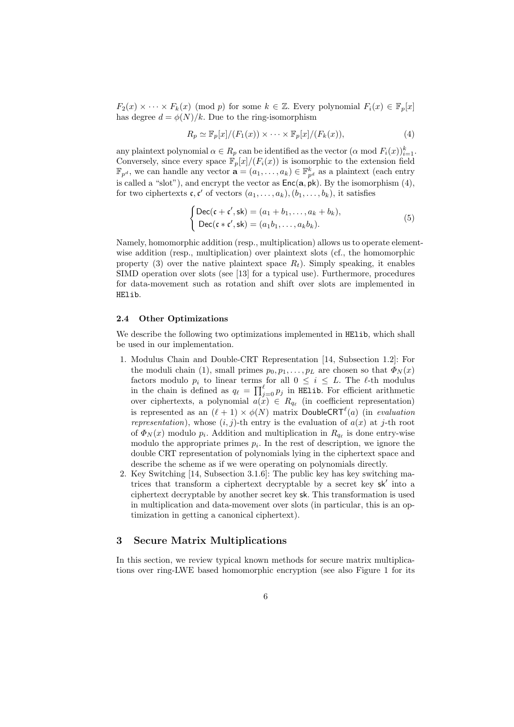$F_2(x) \times \cdots \times F_k(x)$  (mod p) for some  $k \in \mathbb{Z}$ . Every polynomial  $F_i(x) \in \mathbb{F}_p[x]$ has degree  $d = \phi(N)/k$ . Due to the ring-isomorphism

$$
R_p \simeq \mathbb{F}_p[x]/(F_1(x)) \times \cdots \times \mathbb{F}_p[x]/(F_k(x)),
$$
\n(4)

any plaintext polynomial  $\alpha \in R_p$  can be identified as the vector  $(\alpha \mod F_i(x))_{i=1}^k$ . Conversely, since every space  $\mathbb{F}_p[x]/(F_i(x))$  is isomorphic to the extension field  $\mathbb{F}_{p^d}$ , we can handle any vector  $\mathbf{a} = (a_1, \ldots, a_k) \in \mathbb{F}_{p^d}^k$  as a plaintext (each entry is called a "slot"), and encrypt the vector as  $Enc(a, pk)$ . By the isomorphism (4), for two ciphertexts  $\mathfrak{c}, \mathfrak{c}'$  of vectors  $(a_1, \ldots, a_k), (b_1, \ldots, b_k)$ , it satisfies

$$
\begin{cases}\n\text{Dec}(\mathfrak{c} + \mathfrak{c}', \mathsf{sk}) = (a_1 + b_1, \dots, a_k + b_k), \\
\text{Dec}(\mathfrak{c} * \mathfrak{c}', \mathsf{sk}) = (a_1 b_1, \dots, a_k b_k).\n\end{cases} \tag{5}
$$

Namely, homomorphic addition (resp., multiplication) allows us to operate elementwise addition (resp., multiplication) over plaintext slots (cf., the homomorphic property (3) over the native plaintext space  $R_t$ ). Simply speaking, it enables SIMD operation over slots (see [13] for a typical use). Furthermore, procedures for data-movement such as rotation and shift over slots are implemented in HElib.

#### 2.4 Other Optimizations

We describe the following two optimizations implemented in HElib, which shall be used in our implementation.

- 1. Modulus Chain and Double-CRT Representation [14, Subsection 1.2]: For the moduli chain (1), small primes  $p_0, p_1, \ldots, p_L$  are chosen so that  $\Phi_N(x)$ factors modulo  $p_i$  to linear terms for all  $0 \leq i \leq L$ . The  $\ell$ -th modulus in the chain is defined as  $q_\ell = \prod_{j=0}^{\ell} p_j$  in HElib. For efficient arithmetic over ciphertexts, a polynomial  $a(x) \in R_{q_\ell}$  (in coefficient representation) is represented as an  $(\ell + 1) \times \phi(N)$  matrix DoubleCRT<sup> $\ell$ </sup>(a) (in evaluation representation), whose  $(i, j)$ -th entry is the evaluation of  $a(x)$  at j-th root of  $\Phi_N(x)$  modulo  $p_i$ . Addition and multiplication in  $R_{q_\ell}$  is done entry-wise modulo the appropriate primes  $p_i$ . In the rest of description, we ignore the double CRT representation of polynomials lying in the ciphertext space and describe the scheme as if we were operating on polynomials directly.
- 2. Key Switching [14, Subsection 3.1.6]: The public key has key switching matrices that transform a ciphertext decryptable by a secret key sk' into a ciphertext decryptable by another secret key sk. This transformation is used in multiplication and data-movement over slots (in particular, this is an optimization in getting a canonical ciphertext).

## 3 Secure Matrix Multiplications

In this section, we review typical known methods for secure matrix multiplications over ring-LWE based homomorphic encryption (see also Figure 1 for its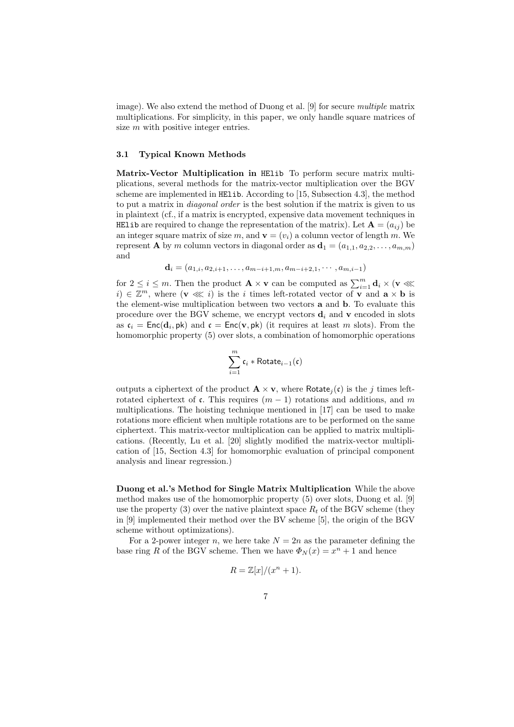image). We also extend the method of Duong et al. [9] for secure *multiple* matrix multiplications. For simplicity, in this paper, we only handle square matrices of size m with positive integer entries.

#### 3.1 Typical Known Methods

Matrix-Vector Multiplication in HElib To perform secure matrix multiplications, several methods for the matrix-vector multiplication over the BGV scheme are implemented in HElib. According to [15, Subsection 4.3], the method to put a matrix in *diagonal order* is the best solution if the matrix is given to us in plaintext (cf., if a matrix is encrypted, expensive data movement techniques in HELID are required to change the representation of the matrix). Let  $\mathbf{A} = (a_{ij})$  be an integer square matrix of size m, and  $\mathbf{v} = (v_i)$  a column vector of length m. We represent **A** by m column vectors in diagonal order as  $\mathbf{d}_1 = (a_{1,1}, a_{2,2}, \dots, a_{m,m})$ and

$$
\mathbf{d}_i = (a_{1,i}, a_{2,i+1}, \dots, a_{m-i+1,m}, a_{m-i+2,1}, \dots, a_{m,i-1})
$$

for  $2 \leq i \leq m$ . Then the product  $\mathbf{A} \times \mathbf{v}$  can be computed as  $\sum_{i=1}^{m} \mathbf{d}_i \times (\mathbf{v} \ll \mathbf{v})$  $i) \in \mathbb{Z}^m$ , where  $(\mathbf{v} \lll i)$  is the i times left-rotated vector of  $\mathbf{v}$  and  $\mathbf{a} \times \mathbf{b}$  is the element-wise multiplication between two vectors a and b. To evaluate this procedure over the BGV scheme, we encrypt vectors  $\mathbf{d}_i$  and  $\mathbf{v}$  encoded in slots as  $\mathfrak{c}_i = \mathsf{Enc}(\mathbf{d}_i, \mathsf{pk})$  and  $\mathfrak{c} = \mathsf{Enc}(\mathbf{v}, \mathsf{pk})$  (it requires at least m slots). From the homomorphic property (5) over slots, a combination of homomorphic operations

$$
\sum_{i=1}^m \mathfrak{c}_i * \mathsf{Rotate}_{i-1}(\mathfrak{c})
$$

outputs a ciphertext of the product  $\mathbf{A} \times \mathbf{v}$ , where Rotate<sub>i</sub>(c) is the j times leftrotated ciphertext of c. This requires  $(m-1)$  rotations and additions, and m multiplications. The hoisting technique mentioned in [17] can be used to make rotations more efficient when multiple rotations are to be performed on the same ciphertext. This matrix-vector multiplication can be applied to matrix multiplications. (Recently, Lu et al. [20] slightly modified the matrix-vector multiplication of [15, Section 4.3] for homomorphic evaluation of principal component analysis and linear regression.)

Duong et al.'s Method for Single Matrix Multiplication While the above method makes use of the homomorphic property (5) over slots, Duong et al. [9] use the property (3) over the native plaintext space  $R_t$  of the BGV scheme (they in [9] implemented their method over the BV scheme [5], the origin of the BGV scheme without optimizations).

For a 2-power integer n, we here take  $N = 2n$  as the parameter defining the base ring R of the BGV scheme. Then we have  $\Phi_N(x) = x^n + 1$  and hence

$$
R = \mathbb{Z}[x]/(x^n + 1).
$$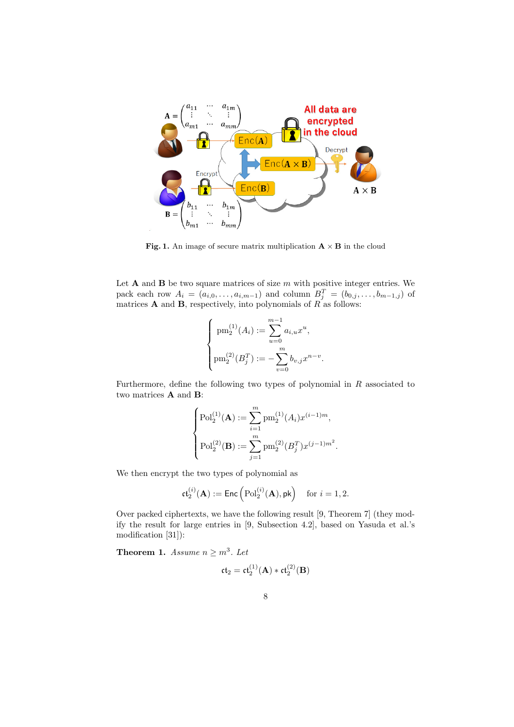

Fig. 1. An image of secure matrix multiplication  $A \times B$  in the cloud

Let  $A$  and  $B$  be two square matrices of size  $m$  with positive integer entries. We pack each row  $A_i = (a_{i,0}, \ldots, a_{i,m-1})$  and column  $B_j^T = (b_{0,j}, \ldots, b_{m-1,j})$  of matrices **A** and **B**, respectively, into polynomials of  $R$  as follows:

$$
\begin{cases} \text{pm}_2^{(1)}(A_i) := \sum_{u=0}^{m-1} a_{i,u} x^u, \\ \text{pm}_2^{(2)}(B_j^T) := -\sum_{v=0}^m b_{v,j} x^{n-v}. \end{cases}
$$

Furthermore, define the following two types of polynomial in  $R$  associated to two matrices A and B:

$$
\begin{cases} \mathrm{Pol}_2^{(1)}(\mathbf{A}) := \sum_{i=1}^m \mathrm{pm}_2^{(1)}(A_i) x^{(i-1)m}, \\ \mathrm{Pol}_2^{(2)}(\mathbf{B}) := \sum_{j=1}^m \mathrm{pm}_2^{(2)}(B_j^T) x^{(j-1)m^2}. \end{cases}
$$

We then encrypt the two types of polynomial as

$$
\mathfrak{ct}_2^{(i)}(\mathbf{A}):=\mathrm{Enc}\left(\mathrm{Pol}_2^{(i)}(\mathbf{A}), \mathrm{pk}\right) \quad \text{for } i=1,2.
$$

Over packed ciphertexts, we have the following result [9, Theorem 7] (they modify the result for large entries in [9, Subsection 4.2], based on Yasuda et al.'s modification [31]):

**Theorem 1.** Assume  $n \geq m^3$ . Let

$$
\mathfrak{ct}_2 = \mathfrak{ct}_2^{(1)}(\mathbf{A}) * \mathfrak{ct}_2^{(2)}(\mathbf{B})
$$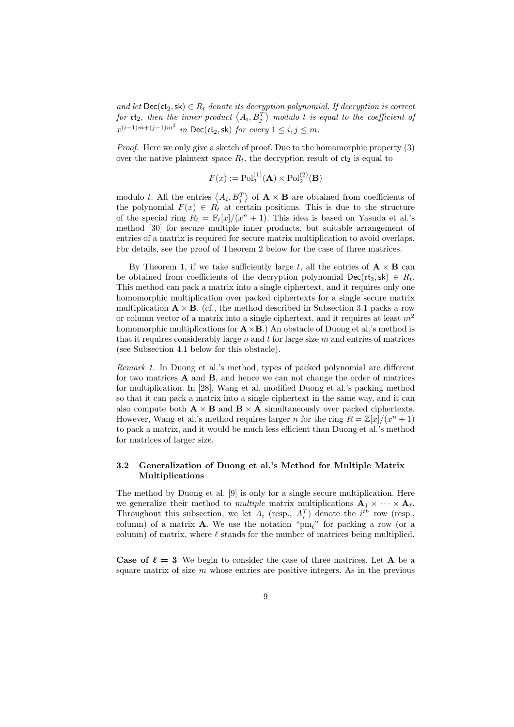and let  $\text{Dec}(\mathfrak{ct}_2,\textsf{sk}) \in R_t$  denote its decryption polynomial. If decryption is correct for  $\mathfrak{ct}_2$ , then the inner product  $\left\langle A_i, B_j^T \right\rangle$  modulo  $t$  is equal to the coefficient of  $x^{(i-1)m+(j-1)m^2}$  in Dec(ct<sub>2</sub>, sk) for every  $1 \le i, j \le m$ .

Proof. Here we only give a sketch of proof. Due to the homomorphic property (3) over the native plaintext space  $R_t$ , the decryption result of  $ct_2$  is equal to

$$
F(x) := \mathrm{Pol}_2^{(1)}(\mathbf{A}) \times \mathrm{Pol}_2^{(2)}(\mathbf{B})
$$

modulo t. All the entries  $\langle A_i, B_j^T \rangle$  of  $\mathbf{A} \times \mathbf{B}$  are obtained from coefficients of the polynomial  $F(x) \in R_t$  at certain positions. This is due to the structure of the special ring  $R_t = \mathbb{F}_t[x]/(x^n + 1)$ . This idea is based on Yasuda et al.'s method [30] for secure multiple inner products, but suitable arrangement of entries of a matrix is required for secure matrix multiplication to avoid overlaps. For details, see the proof of Theorem 2 below for the case of three matrices.

By Theorem 1, if we take sufficiently large t, all the entries of  $\mathbf{A} \times \mathbf{B}$  can be obtained from coefficients of the decryption polynomial  $\textsf{Dec}(\mathfrak{ct}_2,\textsf{sk}) \in R_t$ . This method can pack a matrix into a single ciphertext, and it requires only one homomorphic multiplication over packed ciphertexts for a single secure matrix multiplication  $\mathbf{A} \times \mathbf{B}$ . (cf., the method described in Subsection 3.1 packs a row or column vector of a matrix into a single ciphertext, and it requires at least  $m<sup>2</sup>$ homomorphic multiplications for  $\mathbf{A} \times \mathbf{B}$ .) An obstacle of Duong et al.'s method is that it requires considerably large  $n$  and  $t$  for large size  $m$  and entries of matrices (see Subsection 4.1 below for this obstacle).

Remark 1. In Duong et al.'s method, types of packed polynomial are different for two matrices  $\bf{A}$  and  $\bf{B}$ , and hence we can not change the order of matrices for multiplication. In [28], Wang et al. modified Duong et al.'s packing method so that it can pack a matrix into a single ciphertext in the same way, and it can also compute both  $\mathbf{A} \times \mathbf{B}$  and  $\mathbf{B} \times \mathbf{A}$  simultaneously over packed ciphertexts. However, Wang et al.'s method requires larger n for the ring  $R = \mathbb{Z}[x]/(x^n + 1)$ to pack a matrix, and it would be much less efficient than Duong et al.'s method for matrices of larger size.

# 3.2 Generalization of Duong et al.'s Method for Multiple Matrix Multiplications

The method by Duong et al. [9] is only for a single secure multiplication. Here we generalize their method to *multiple* matrix multiplications  $\mathbf{A}_1 \times \cdots \times \mathbf{A}_\ell$ . Throughout this subsection, we let  $A_i$  (resp.,  $A_i^T$ ) denote the  $i^{th}$  row (resp., column) of a matrix **A**. We use the notation " $pm_\ell$ " for packing a row (or a column) of matrix, where  $\ell$  stands for the number of matrices being multiplied.

**Case of**  $\ell = 3$  We begin to consider the case of three matrices. Let **A** be a square matrix of size  $m$  whose entries are positive integers. As in the previous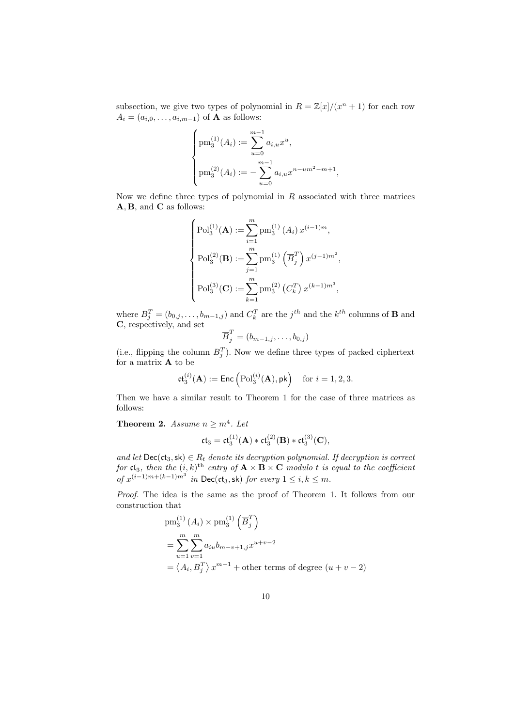subsection, we give two types of polynomial in  $R = \mathbb{Z}[x]/(x^n + 1)$  for each row  $A_i = (a_{i,0}, \ldots, a_{i,m-1})$  of **A** as follows:

$$
\begin{cases} \text{pm}_3^{(1)}(A_i) := \sum_{u=0}^{m-1} a_{i,u} x^u, \\ \text{pm}_3^{(2)}(A_i) := -\sum_{u=0}^{m-1} a_{i,u} x^{n-um^2-m+1}, \end{cases}
$$

Now we define three types of polynomial in  $R$  associated with three matrices A, B, and C as follows:

$$
\begin{cases}\n\text{Pol}_3^{(1)}(\mathbf{A}) := \sum_{i=1}^m \text{pm}_3^{(1)}(A_i) x^{(i-1)m}, \\
\text{Pol}_3^{(2)}(\mathbf{B}) := \sum_{j=1}^m \text{pm}_3^{(1)}(\overline{B}_j^T) x^{(j-1)m^2}, \\
\text{Pol}_3^{(3)}(\mathbf{C}) := \sum_{k=1}^m \text{pm}_3^{(2)}(C_k^T) x^{(k-1)m^3},\n\end{cases}
$$

where  $B_j^T = (b_{0,j}, \ldots, b_{m-1,j})$  and  $C_k^T$  are the  $j^{th}$  and the  $k^{th}$  columns of **B** and C, respectively, and set

$$
\overline{B}_j^T = (b_{m-1,j},\ldots,b_{0,j})
$$

(i.e., flipping the column  $B_j^T$ ). Now we define three types of packed ciphertext for a matrix A to be

$$
\mathfrak{ct}_3^{(i)}(\mathbf{A}) := \mathsf{Enc}\left(\mathrm{Pol}_3^{(i)}(\mathbf{A}), \mathsf{pk}\right) \quad \text{for } i = 1, 2, 3.
$$

Then we have a similar result to Theorem 1 for the case of three matrices as follows:

**Theorem 2.** Assume  $n \geq m^4$ . Let

$$
\mathfrak{ct}_3 = \mathfrak{ct}_3^{(1)}(\mathbf{A}) * \mathfrak{ct}_3^{(2)}(\mathbf{B}) * \mathfrak{ct}_3^{(3)}(\mathbf{C}),
$$

and let  $\textsf{Dec}(\mathfrak{ct}_3,\mathsf{sk}) \in R_t$  denote its decryption polynomial. If decryption is correct for  $\mathfrak{ct}_3$ , then the  $(i,k)^\text{th}$  entry of  $\mathbf{A}\times\mathbf{B}\times\mathbf{C}$  modulo t is equal to the coefficient of  $x^{(i-1)m+(k-1)m^3}$  in Dec(ct<sub>3</sub>, sk) for every  $1 \le i, k \le m$ .

Proof. The idea is the same as the proof of Theorem 1. It follows from our construction that

$$
pm_3^{(1)} (A_i) \times pm_3^{(1)} \left(\overline{B}_j^T\right)
$$
  
= 
$$
\sum_{u=1}^m \sum_{v=1}^m a_{iu} b_{m-v+1,j} x^{u+v-2}
$$
  
=  $\langle A_i, B_j^T \rangle x^{m-1}$  + other terms of degree  $(u + v - 2)$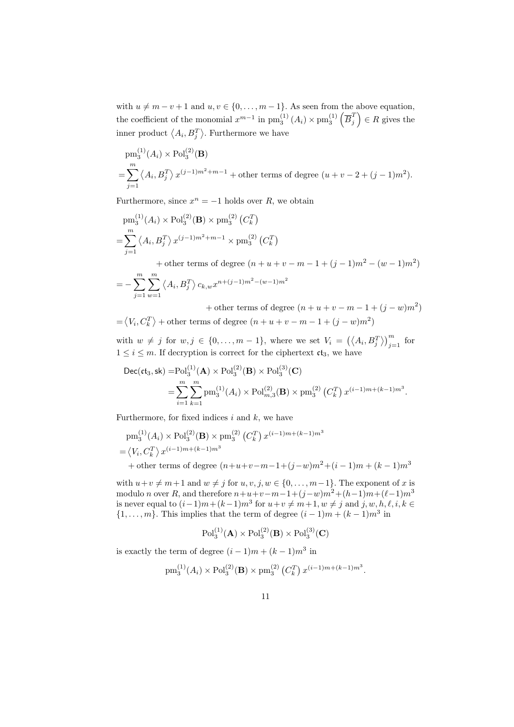with  $u \neq m - v + 1$  and  $u, v \in \{0, ..., m - 1\}$ . As seen from the above equation, the coefficient of the monomial  $x^{m-1}$  in  $\text{pm}_3^{(1)}(A_i) \times \text{pm}_3^{(1)}(\overline{B}_j^T)$  $\left(\begin{matrix} T \\ j \end{matrix}\right) \in R$  gives the inner product  $\langle A_i, B_j^T \rangle$ . Furthermore we have

$$
pm_3^{(1)}(A_i) \times \text{Pol}_3^{(2)}(\mathbf{B})
$$
  
=  $\sum_{j=1}^m \langle A_i, B_j^T \rangle x^{(j-1)m^2+m-1} + \text{other terms of degree } (u+v-2+(j-1)m^2).$ 

Furthermore, since  $x^n = -1$  holds over R, we obtain

$$
pm_3^{(1)}(A_i) \times \text{Pol}_3^{(2)}(\mathbf{B}) \times \text{pm}_3^{(2)}(C_k^T)
$$
  
= 
$$
\sum_{j=1}^m \langle A_i, B_j^T \rangle x^{(j-1)m^2+m-1} \times \text{pm}_3^{(2)}(C_k^T)
$$

+ other terms of degree  $(n + u + v - m - 1 + (j - 1)m^2 - (w - 1)m^2)$  $=-\sum_{n=1}^{\infty}$  $j=1$  $\sum_{i=1}^{m}$  $w=1$  $\left\langle A_i, B_j^T \right\rangle c_{k,w} x^{n + (j-1)m^2 - (w-1)m^2}$ 

+ other terms of degree  $(n+u+v-m-1+(j-w)m^2)$  $=\langle V_i, C_k^T \rangle + \text{other terms of degree } (n+u+v-m-1+(j-w)m^2)$ 

with  $w \neq j$  for  $w, j \in \{0, ..., m-1\}$ , where we set  $V_i = (\langle A_i, B_j^T \rangle)_{j=1}^m$  for  $1 \leq i \leq m$ . If decryption is correct for the ciphertext  $ct_3$ , we have

$$
\begin{split} \text{Dec}(\text{ct}_3, \text{sk}) =& \text{Pol}_3^{(1)}(\mathbf{A}) \times \text{Pol}_3^{(2)}(\mathbf{B}) \times \text{Pol}_3^{(3)}(\mathbf{C}) \\ = & \sum_{i=1}^m \sum_{k=1}^m \text{pm}_3^{(1)}(A_i) \times \text{Pol}_{m,3}^{(2)}(\mathbf{B}) \times \text{pm}_3^{(2)}(C_k^T) x^{(i-1)m + (k-1)m^3}. \end{split}
$$

Furthermore, for fixed indices  $i$  and  $k$ , we have

$$
pm_3^{(1)}(A_i) \times \text{Pol}_3^{(2)}(\mathbf{B}) \times \text{pm}_3^{(2)}(C_k^T) x^{(i-1)m + (k-1)m^3}
$$
  
=  $\langle V_i, C_k^T \rangle x^{(i-1)m + (k-1)m^3}$   
+ other terms of degree  $(n+u+v-m-1+(j-w)m^2+(i-1)m + (k-1)m^3)$ 

with  $u+v \neq m+1$  and  $w \neq j$  for  $u, v, j, w \in \{0, \ldots, m-1\}$ . The exponent of x is modulo *n* over R, and therefore  $n+u+v-m-1+(j-w)m^2+(h-1)m+(\ell-1)m^3$ is never equal to  $(i-1)m + (k-1)m^3$  for  $u+v \neq m+1, w \neq j$  and  $j, w, h, \ell, i, k \in$  $\{1,\ldots,m\}$ . This implies that the term of degree  $(i-1)m + (k-1)m^3$  in

$$
Pol_3^{(1)}(A) \times Pol_3^{(2)}(B) \times Pol_3^{(3)}(C)
$$

is exactly the term of degree  $(i-1)m + (k-1)m^3$  in

$$
pm_3^{(1)}(A_i) \times \text{Pol}_3^{(2)}(\mathbf{B}) \times \text{pm}_3^{(2)}(C_k^T) x^{(i-1)m + (k-1)m^3}
$$

.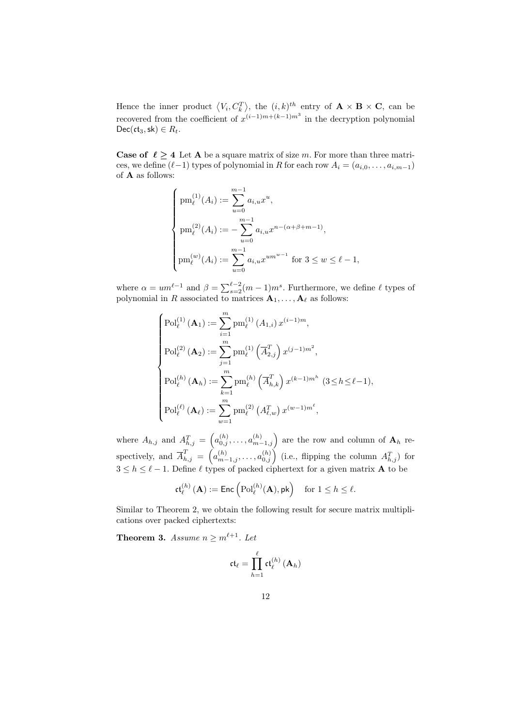Hence the inner product  $\langle V_i, C_k^T \rangle$ , the  $(i, k)^{th}$  entry of  $\mathbf{A} \times \mathbf{B} \times \mathbf{C}$ , can be recovered from the coefficient of  $x^{(i-1)m+(k-1)m^3}$  in the decryption polynomial Dec( $ct_3$ , sk)  $\in$   $R_t$ .

**Case of**  $\ell \geq 4$  Let **A** be a square matrix of size m. For more than three matrices, we define  $(\ell-1)$  types of polynomial in R for each row  $A_i = (a_{i,0}, \ldots, a_{i,m-1})$ of A as follows:

$$
\begin{cases} \text{pm}_{\ell}^{(1)}(A_i) := \sum_{u=0}^{m-1} a_{i,u} x^u, \\ \text{pm}_{\ell}^{(2)}(A_i) := -\sum_{u=0}^{m-1} a_{i,u} x^{n-(\alpha+\beta+m-1)}, \\ \text{pm}_{\ell}^{(w)}(A_i) := \sum_{u=0}^{m-1} a_{i,u} x^{um^{w-1}} \text{ for } 3 \leq w \leq \ell - 1, \end{cases}
$$

where  $\alpha = um^{\ell-1}$  and  $\beta = \sum_{s=2}^{\ell-2} (m-1)m^s$ . Furthermore, we define  $\ell$  types of polynomial in R associated to matrices  $A_1, \ldots, A_\ell$  as follows:

$$
\begin{cases}\n\text{Pol}_{\ell}^{(1)}\left(\mathbf{A}_{1}\right) := \sum_{i=1}^{m} \text{pm}_{\ell}^{(1)}\left(A_{1,i}\right) x^{(i-1)m}, \\
\text{Pol}_{\ell}^{(2)}\left(\mathbf{A}_{2}\right) := \sum_{j=1}^{m} \text{pm}_{\ell}^{(1)}\left(\overline{A}_{2,j}^{T}\right) x^{(j-1)m^{2}}, \\
\text{Pol}_{\ell}^{(h)}\left(\mathbf{A}_{h}\right) := \sum_{k=1}^{m} \text{pm}_{\ell}^{(h)}\left(\overline{A}_{h,k}^{T}\right) x^{(k-1)m^{h}}\ (3 \leq h \leq \ell-1), \\
\text{Pol}_{\ell}^{(\ell)}\left(\mathbf{A}_{\ell}\right) := \sum_{w=1}^{m} \text{pm}_{\ell}^{(2)}\left(A_{\ell,w}^{T}\right) x^{(w-1)m^{\ell}},\n\end{cases}
$$

where  $A_{h,j}$  and  $A_{h,j}^T = \left( a_{0,j}^{(h)}, \ldots, a_{m-1,j}^{(h)} \right)$  are the row and column of  $\mathbf{A}_h$  respectively, and  $\overline{A}_{h,j}^T = \left(a_{m-1,j}^{(h)}, \ldots, a_{0,j}^{(h)}\right)$  (i.e., flipping the column  $A_{h,j}^T$ ) for  $3 \leq h \leq \ell - 1$ . Define  $\ell$  types of packed ciphertext for a given matrix **A** to be

$$
\mathfrak{ct}^{(h)}_\ell\left(\mathbf{A}\right) := \mathsf{Enc}\left(\mathrm{Pol}^{(h)}_\ell(\mathbf{A}), \mathsf{pk}\right) \quad \text{for } 1 \leq h \leq \ell.
$$

Similar to Theorem 2, we obtain the following result for secure matrix multiplications over packed ciphertexts:

**Theorem 3.** Assume  $n \geq m^{\ell+1}$ . Let

$$
\mathfrak{ct}_{\ell} = \prod_{h=1}^{\ell} \mathfrak{ct}_{\ell}^{(h)}\left(\mathbf{A}_h\right)
$$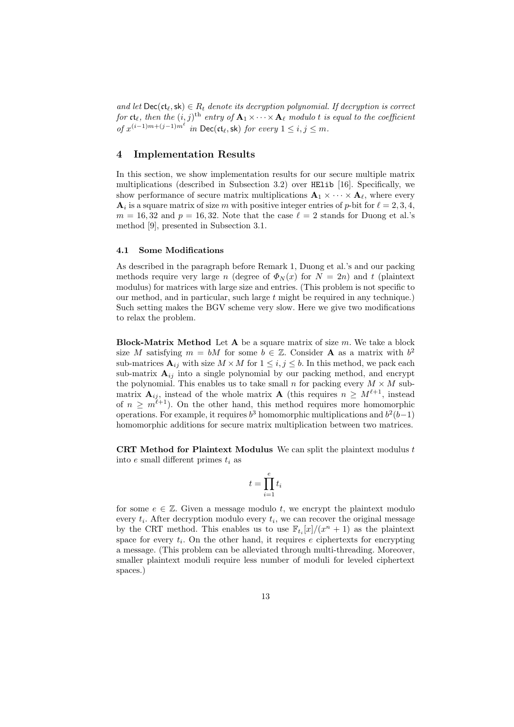and let  $\text{Dec}(\mathfrak{ct}_{\ell},\mathsf{sk}) \in R_t$  denote its decryption polynomial. If decryption is correct for  $\mathfrak{ct}_\ell,$  then the  $(i, j)^{\text{th}}$  entry of  $\mathbf{A}_1{\times} \cdots {\times}\mathbf{A}_\ell$  modulo  $t$  is equal to the coefficient of  $x^{(i-1)m+(j-1)m^{\ell}}$  in Dec(ct<sub>ℓ</sub>, sk) for every  $1 \le i, j \le m$ .

# 4 Implementation Results

In this section, we show implementation results for our secure multiple matrix multiplications (described in Subsection 3.2) over HElib [16]. Specifically, we show performance of secure matrix multiplications  $\mathbf{A}_1 \times \cdots \times \mathbf{A}_{\ell}$ , where every  $\mathbf{A}_i$  is a square matrix of size m with positive integer entries of p-bit for  $\ell = 2, 3, 4$ ,  $m = 16, 32$  and  $p = 16, 32$ . Note that the case  $\ell = 2$  stands for Duong et al.'s method [9], presented in Subsection 3.1.

### 4.1 Some Modifications

As described in the paragraph before Remark 1, Duong et al.'s and our packing methods require very large n (degree of  $\Phi_N(x)$  for  $N = 2n$ ) and t (plaintext modulus) for matrices with large size and entries. (This problem is not specific to our method, and in particular, such large  $t$  might be required in any technique.) Such setting makes the BGV scheme very slow. Here we give two modifications to relax the problem.

**Block-Matrix Method** Let  $A$  be a square matrix of size  $m$ . We take a block size M satisfying  $m = bM$  for some  $b \in \mathbb{Z}$ . Consider **A** as a matrix with  $b^2$ sub-matrices  $A_{ij}$  with size  $M \times M$  for  $1 \leq i, j \leq b$ . In this method, we pack each sub-matrix  $A_{ij}$  into a single polynomial by our packing method, and encrypt the polynomial. This enables us to take small n for packing every  $M \times M$  submatrix  $\mathbf{A}_{ij}$ , instead of the whole matrix  $\mathbf{A}$  (this requires  $n \geq M^{\ell+1}$ , instead of  $n \geq m^{\ell+1}$ ). On the other hand, this method requires more homomorphic operations. For example, it requires  $b^3$  homomorphic multiplications and  $b^2(b-1)$ homomorphic additions for secure matrix multiplication between two matrices.

**CRT Method for Plaintext Modulus** We can split the plaintext modulus  $t$ into  $e$  small different primes  $t_i$  as

$$
t = \prod_{i=1}^{e} t_i
$$

for some  $e \in \mathbb{Z}$ . Given a message modulo t, we encrypt the plaintext modulo every  $t_i$ . After decryption modulo every  $t_i$ , we can recover the original message by the CRT method. This enables us to use  $\mathbb{F}_{t_i}[x]/(x^n + 1)$  as the plaintext space for every  $t_i$ . On the other hand, it requires e ciphertexts for encrypting a message. (This problem can be alleviated through multi-threading. Moreover, smaller plaintext moduli require less number of moduli for leveled ciphertext spaces.)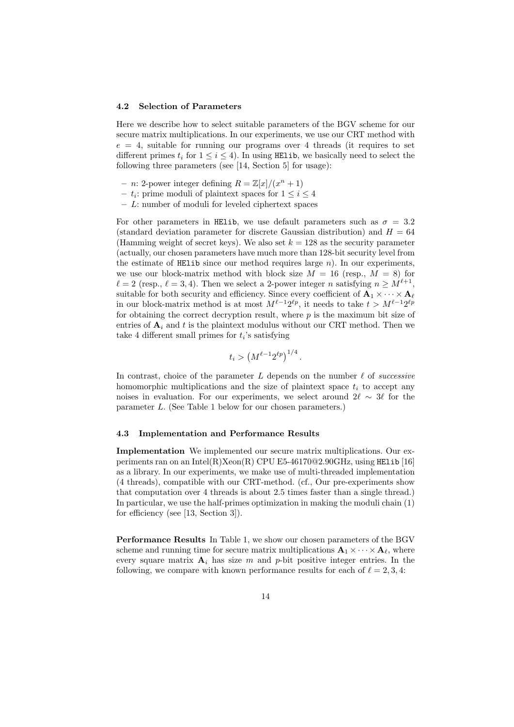#### 4.2 Selection of Parameters

Here we describe how to select suitable parameters of the BGV scheme for our secure matrix multiplications. In our experiments, we use our CRT method with  $e = 4$ , suitable for running our programs over 4 threads (it requires to set different primes  $t_i$  for  $1 \leq i \leq 4$ ). In using HElib, we basically need to select the following three parameters (see [14, Section 5] for usage):

- n: 2-power integer defining  $R = \mathbb{Z}[x]/(x^n + 1)$
- $t_i$ : prime moduli of plaintext spaces for  $1 \leq i \leq 4$
- $L:$  number of moduli for leveled ciphertext spaces

For other parameters in HElib, we use default parameters such as  $\sigma = 3.2$ (standard deviation parameter for discrete Gaussian distribution) and  $H = 64$ (Hamming weight of secret keys). We also set  $k = 128$  as the security parameter (actually, our chosen parameters have much more than 128-bit security level from the estimate of HElib since our method requires large  $n$ ). In our experiments, we use our block-matrix method with block size  $M = 16$  (resp.,  $M = 8$ ) for  $\ell = 2$  (resp.,  $\ell = 3, 4$ ). Then we select a 2-power integer n satisfying  $n \geq M^{\ell+1}$ , suitable for both security and efficiency. Since every coefficient of  $\mathbf{A}_1 \times \cdots \times \mathbf{A}_{\ell}$ in our block-matrix method is at most  $M^{\ell-1}2^{\ell p}$ , it needs to take  $t > M^{\ell-1}2^{\ell p}$ for obtaining the correct decryption result, where  $p$  is the maximum bit size of entries of  $A_i$  and t is the plaintext modulus without our CRT method. Then we take 4 different small primes for  $t_i$ 's satisfying

$$
t_i > \left(M^{\ell-1} 2^{\ell p}\right)^{1/4}.
$$

In contrast, choice of the parameter  $L$  depends on the number  $\ell$  of successive homomorphic multiplications and the size of plaintext space  $t_i$  to accept any noises in evaluation. For our experiments, we select around  $2\ell \sim 3\ell$  for the parameter L. (See Table 1 below for our chosen parameters.)

#### 4.3 Implementation and Performance Results

Implementation We implemented our secure matrix multiplications. Our experiments ran on an Intel $(R)$ Xeon $(R)$  CPU E5-46170@2.90GHz, using HElib [16] as a library. In our experiments, we make use of multi-threaded implementation (4 threads), compatible with our CRT-method. (cf., Our pre-experiments show that computation over 4 threads is about 2.5 times faster than a single thread.) In particular, we use the half-primes optimization in making the moduli chain (1) for efficiency (see [13, Section 3]).

Performance Results In Table 1, we show our chosen parameters of the BGV scheme and running time for secure matrix multiplications  $\mathbf{A}_1 \times \cdots \times \mathbf{A}_\ell$ , where every square matrix  $A_i$  has size m and p-bit positive integer entries. In the following, we compare with known performance results for each of  $\ell = 2, 3, 4$ :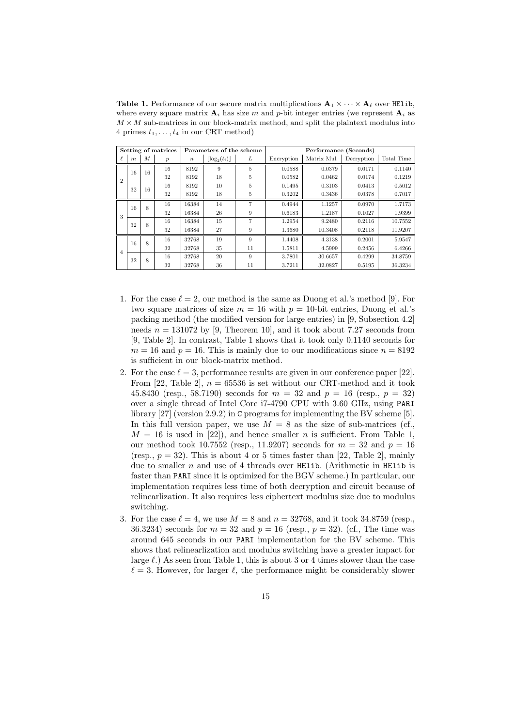**Table 1.** Performance of our secure matrix multiplications  $\mathbf{A}_1 \times \cdots \times \mathbf{A}_\ell$  over HElib, where every square matrix  $A_i$  has size m and p-bit integer entries (we represent  $A_i$  as  $M \times M$  sub-matrices in our block-matrix method, and split the plaintext modulus into 4 primes  $t_1, \ldots, t_4$  in our CRT method)

| Setting of matrices |                  |                  |                  | Parameters of the scheme |                 |    | Performance (Seconds) |             |            |            |
|---------------------|------------------|------------------|------------------|--------------------------|-----------------|----|-----------------------|-------------|------------|------------|
|                     | $\boldsymbol{m}$ | $\boldsymbol{M}$ | $\boldsymbol{p}$ | $\boldsymbol{n}$         | $ \log_2(t_i) $ | L  | Encryption            | Matrix Mul. | Decryption | Total Time |
| $\overline{2}$      | 16               | 16               | 16               | 8192                     | 9               | 5  | 0.0588                | 0.0379      | 0.0171     | 0.1140     |
|                     |                  |                  | 32               | 8192                     | 18              | 5  | 0.0582                | 0.0462      | 0.0174     | 0.1219     |
|                     | 32               | 16               | 16               | 8192                     | 10              | 5  | 0.1495                | 0.3103      | 0.0413     | 0.5012     |
|                     |                  |                  | 32               | 8192                     | 18              | 5  | 0.3202                | 0.3436      | 0.0378     | 0.7017     |
| 3                   | 16               | 8                | 16               | 16384                    | 14              | 7  | 0.4944                | 1.1257      | 0.0970     | 1.7173     |
|                     |                  |                  | 32               | 16384                    | 26              | 9  | 0.6183                | 1.2187      | 0.1027     | 1.9399     |
|                     | 32               | 8                | 16               | 16384                    | 15              | 7  | 1.2954                | 9.2480      | 0.2116     | 10.7552    |
|                     |                  |                  | 32               | 16384                    | 27              | 9  | 1.3680                | 10.3408     | 0.2118     | 11.9207    |
| $\overline{4}$      | 16               | 8                | 16               | 32768                    | 19              | 9  | 1.4408                | 4.3138      | 0.2001     | 5.9547     |
|                     |                  |                  | 32               | 32768                    | 35              | 11 | 1.5811                | 4.5999      | 0.2456     | 6.4266     |
|                     | 32               | 8                | 16               | 32768                    | 20              | 9  | 3.7801                | 30.6657     | 0.4299     | 34.8759    |
|                     |                  |                  | 32               | 32768                    | 36              | 11 | 3.7211                | 32.0827     | 0.5195     | 36.3234    |

- 1. For the case  $\ell = 2$ , our method is the same as Duong et al.'s method [9]. For two square matrices of size  $m = 16$  with  $p = 10$ -bit entries, Duong et al.'s packing method (the modified version for large entries) in [9, Subsection 4.2] needs  $n = 131072$  by [9, Theorem 10], and it took about 7.27 seconds from [9, Table 2]. In contrast, Table 1 shows that it took only 0.1140 seconds for  $m = 16$  and  $p = 16$ . This is mainly due to our modifications since  $n = 8192$ is sufficient in our block-matrix method.
- 2. For the case  $\ell = 3$ , performance results are given in our conference paper [22]. From [22, Table 2],  $n = 65536$  is set without our CRT-method and it took 45.8430 (resp., 58.7190) seconds for  $m = 32$  and  $p = 16$  (resp.,  $p = 32$ ) over a single thread of Intel Core i7-4790 CPU with 3.60 GHz, using PARI library [27] (version 2.9.2) in C programs for implementing the BV scheme [5]. In this full version paper, we use  $M = 8$  as the size of sub-matrices (cf.,  $M = 16$  is used in [22]), and hence smaller n is sufficient. From Table 1, our method took 10.7552 (resp., 11.9207) seconds for  $m = 32$  and  $p = 16$ (resp.,  $p = 32$ ). This is about 4 or 5 times faster than [22, Table 2], mainly due to smaller n and use of 4 threads over HElib. (Arithmetic in HElib is faster than PARI since it is optimized for the BGV scheme.) In particular, our implementation requires less time of both decryption and circuit because of relinearlization. It also requires less ciphertext modulus size due to modulus switching.
- 3. For the case  $\ell = 4$ , we use  $M = 8$  and  $n = 32768$ , and it took 34.8759 (resp., 36.3234) seconds for  $m = 32$  and  $p = 16$  (resp.,  $p = 32$ ). (cf., The time was around 645 seconds in our PARI implementation for the BV scheme. This shows that relinearlization and modulus switching have a greater impact for large  $\ell$ .) As seen from Table 1, this is about 3 or 4 times slower than the case  $\ell = 3$ . However, for larger  $\ell$ , the performance might be considerably slower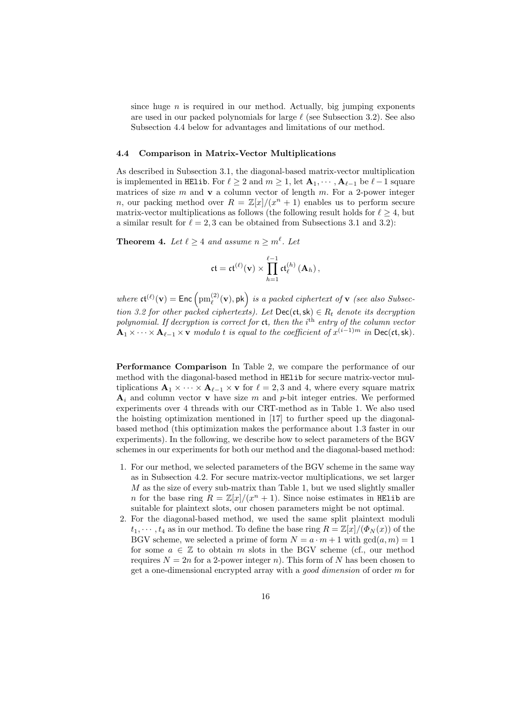since huge  $n$  is required in our method. Actually, big jumping exponents are used in our packed polynomials for large  $\ell$  (see Subsection 3.2). See also Subsection 4.4 below for advantages and limitations of our method.

#### 4.4 Comparison in Matrix-Vector Multiplications

As described in Subsection 3.1, the diagonal-based matrix-vector multiplication is implemented in HElib. For  $\ell \geq 2$  and  $m \geq 1$ , let  $\mathbf{A}_1, \cdots, \mathbf{A}_{\ell-1}$  be  $\ell-1$  square matrices of size  $m$  and  $v$  a column vector of length  $m$ . For a 2-power integer *n*, our packing method over  $R = \mathbb{Z}[x]/(x^n + 1)$  enables us to perform secure matrix-vector multiplications as follows (the following result holds for  $\ell \geq 4$ , but a similar result for  $\ell = 2, 3$  can be obtained from Subsections 3.1 and 3.2):

**Theorem 4.** Let  $\ell \geq 4$  and assume  $n \geq m^{\ell}$ . Let

$$
\mathfrak{ct}=\mathfrak{ct}^{(\ell)}(\mathbf{v})\times\prod_{h=1}^{\ell-1}\mathfrak{ct}_{\ell}^{(h)}\left(\mathbf{A}_{h}\right),
$$

where  $\mathfrak{ct}^{(\ell)}(\mathbf{v}) = \mathsf{Enc} \left( \mathrm{pm}_{\ell}^{(2)} \right)$  $\binom{2}{\ell}(\mathbf{v}), \mathsf{pk}$  is a packed ciphertext of **v** (see also Subsection 3.2 for other packed ciphertexts). Let  $\text{Dec}(\mathfrak{ct}, \mathsf{sk}) \in R_t$  denote its decryption polynomial. If decryption is correct for  $ct$ , then the  $i<sup>th</sup>$  entry of the column vector  ${\bf A}_1 \times \cdots \times {\bf A}_{\ell-1} \times {\bf v}$  modulo t is equal to the coefficient of  $x^{(i-1)m}$  in Dec(ct, sk).

Performance Comparison In Table 2, we compare the performance of our method with the diagonal-based method in HElib for secure matrix-vector multiplications  $\mathbf{A}_1 \times \cdots \times \mathbf{A}_{\ell-1} \times \mathbf{v}$  for  $\ell = 2, 3$  and 4, where every square matrix  $A_i$  and column vector **v** have size m and p-bit integer entries. We performed experiments over 4 threads with our CRT-method as in Table 1. We also used the hoisting optimization mentioned in [17] to further speed up the diagonalbased method (this optimization makes the performance about 1.3 faster in our experiments). In the following, we describe how to select parameters of the BGV schemes in our experiments for both our method and the diagonal-based method:

- 1. For our method, we selected parameters of the BGV scheme in the same way as in Subsection 4.2. For secure matrix-vector multiplications, we set larger  $M$  as the size of every sub-matrix than Table 1, but we used slightly smaller *n* for the base ring  $R = \mathbb{Z}[x]/(x^n + 1)$ . Since noise estimates in HElib are suitable for plaintext slots, our chosen parameters might be not optimal.
- 2. For the diagonal-based method, we used the same split plaintext moduli  $t_1, \dots, t_4$  as in our method. To define the base ring  $R = \mathbb{Z}[x]/(\Phi_N(x))$  of the BGV scheme, we selected a prime of form  $N = a \cdot m + 1$  with  $gcd(a, m) = 1$ for some  $a \in \mathbb{Z}$  to obtain m slots in the BGV scheme (cf., our method requires  $N = 2n$  for a 2-power integer n). This form of N has been chosen to get a one-dimensional encrypted array with a good dimension of order m for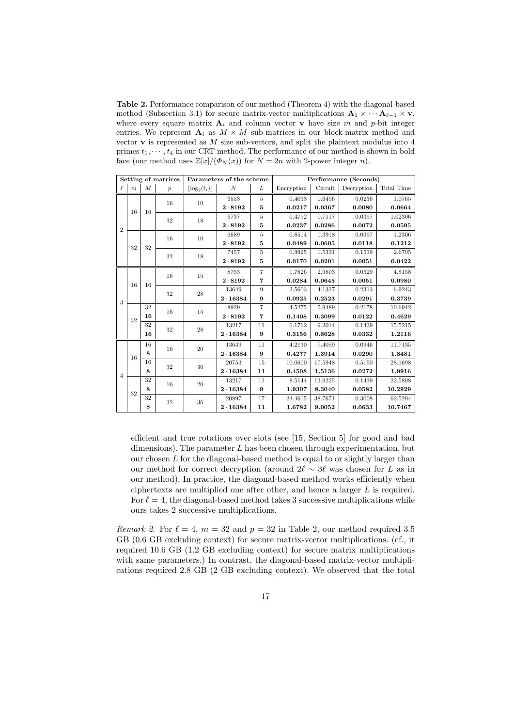Table 2. Performance comparison of our method (Theorem 4) with the diagonal-based method (Subsection 3.1) for secure matrix-vector multiplications  $\mathbf{A}_1 \times \cdots \mathbf{A}_{\ell-1} \times \mathbf{v}$ , where every square matrix  $A_i$  and column vector **v** have size m and p-bit integer entries. We represent  $A_i$  as  $M \times M$  sub-matrices in our block-matrix method and vector  $\bf{v}$  is represented as  $M$  size sub-vectors, and split the plaintext modulus into  $4$ primes  $t_1, \dots, t_4$  in our CRT method. The performance of our method is shown in bold face (our method uses  $\mathbb{Z}[x]/(\Phi_N(x))$  for  $N = 2n$  with 2-power integer n).

| Setting of matrices |                  |                  |                  |                               | Parameters of the scheme |                | Performance (Seconds) |         |            |            |
|---------------------|------------------|------------------|------------------|-------------------------------|--------------------------|----------------|-----------------------|---------|------------|------------|
| ł.                  | $\boldsymbol{m}$ | $\boldsymbol{M}$ | $\boldsymbol{p}$ | $\lfloor \log_2(t_i) \rfloor$ | N                        | L              | Encryption            | Circuit | Decryption | Total Time |
| $\overline{2}$      | 16               | 16               | 16               | 10                            | 6553                     | $\overline{5}$ | 0.4033                | 0.6496  | 0.0236     | 1.0765     |
|                     |                  |                  |                  |                               | $2 \cdot 8192$           | 5              | 0.0217                | 0.0367  | 0.0080     | 0.0664     |
|                     |                  |                  | 32               | 18                            | 6737                     | 5              | 0.4792                | 0.7117  | 0.0397     | 1.02306    |
|                     |                  |                  |                  |                               | $2 \cdot 8192$           | 5              | 0.0237                | 0.0286  | 0.0072     | 0.0595     |
|                     | 32               | 32               | 16               | 10                            | 6689                     | $\overline{5}$ | 0.8514                | 1.3918  | 0.0397     | 1.2306     |
|                     |                  |                  |                  |                               | $2 \cdot 8192$           | 5              | 0.0489                | 0.0605  | 0.0118     | 0.1212     |
|                     |                  |                  | 32               | 18                            | 7457                     | $\overline{5}$ | 0.9925                | 1.5331  | 0.1539     | 2.6795     |
|                     |                  |                  |                  |                               | $2 \cdot 8192$           | 5              | 0.0170                | 0.0201  | 0.0051     | 0.0422     |
|                     |                  | 16               | 16               | 15                            | 8753                     | $\overline{7}$ | 1.7826                | 2.9803  | 0.0529     | 4.8158     |
| 3                   | 16               |                  |                  |                               | 2.8192                   | $\overline{7}$ | 0.0284                | 0.0645  | 0.0051     | 0.0980     |
|                     |                  |                  | 32               | 28                            | 13649                    | 9              | 2.5603                | 4.1327  | 0.2313     | 6.9243     |
|                     |                  |                  |                  |                               | 2.16384                  | 9              | 0.0925                | 0.2523  | 0.0291     | 0.3739     |
|                     | 32               | 32               | 16               | 15                            | 8929                     | $\overline{7}$ | 4.5275                | 5.9489  | 0.2178     | 10.6942    |
|                     |                  | 16               |                  |                               | $2 \cdot 8192$           | $\overline{7}$ | 0.1408                | 0.3099  | 0.0122     | 0.4629     |
|                     |                  | 32               | 32               | 28                            | 13217                    | 11             | 6.1762                | 9.2014  | 0.1439     | 15.5215    |
|                     |                  | 16               |                  |                               | 2.16384                  | 9              | 0.3156                | 0.8628  | 0.0332     | 1.2116     |
|                     | 16               | 16               | 16               | 20                            | 13649                    | 11             | 4.2130                | 7.4059  | 0.0946     | 11.7135    |
| $\overline{4}$      |                  | 8                |                  |                               | 2.16384                  | 9              | 0.4277                | 1.3914  | 0.0290     | 1.8481     |
|                     |                  | 16               | 32               | 36                            | 20753                    | 15             | 10.0600               | 17.5948 | 0.5150     | 28.1698    |
|                     |                  | 8                |                  |                               | 2.16384                  | 11             | 0.4508                | 1.5136  | 0.0272     | 1.9916     |
|                     | 32               | 32               | 16               | 20                            | 13217                    | 11             | 8.5144                | 13.9225 | 0.1439     | 22.5808    |
|                     |                  | 8                |                  |                               | 2.16384                  | 9              | 1.9307                | 8.3040  | 0.0582     | 10.2929    |
|                     |                  | 32               | 32               | 36                            | 20897                    | 17             | 23.4615               | 38.7671 | 0.3008     | 62.5294    |
|                     |                  | 8                |                  |                               | 2.16384                  | 11             | 1.6782                | 9.0052  | 0.0633     | 10.7467    |

efficient and true rotations over slots (see [15, Section 5] for good and bad dimensions). The parameter  $L$  has been chosen through experimentation, but our chosen  $L$  for the diagonal-based method is equal to or slightly larger than our method for correct decryption (around  $2\ell \sim 3\ell$  was chosen for L as in our method). In practice, the diagonal-based method works efficiently when ciphertexts are multiplied one after other, and hence a larger L is required. For  $\ell = 4$ , the diagonal-based method takes 3 successive multiplications while ours takes 2 successive multiplications.

Remark 2. For  $\ell = 4$ ,  $m = 32$  and  $p = 32$  in Table 2, our method required 3.5 GB (0.6 GB excluding context) for secure matrix-vector multiplications. (cf., it required 10.6 GB (1.2 GB excluding context) for secure matrix multiplications with same parameters.) In contrast, the diagonal-based matrix-vector multiplications required 2.8 GB (2 GB excluding context). We observed that the total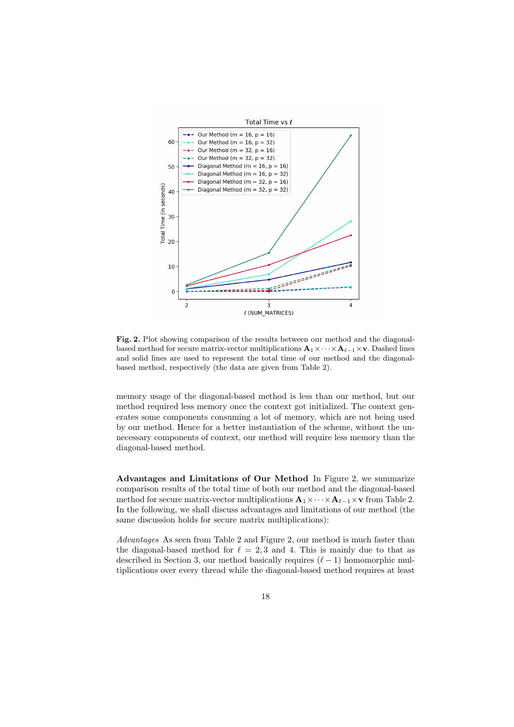

Fig. 2. Plot showing comparison of the results between our method and the diagonalbased method for secure matrix-vector multiplications  $\mathbf{A}_1 \times \cdots \times \mathbf{A}_{\ell-1} \times \mathbf{v}$ . Dashed lines and solid lines are used to represent the total time of our method and the diagonalbased method, respectively (the data are given from Table 2).

memory usage of the diagonal-based method is less than our method, but our method required less memory once the context got initialized. The context generates some components consuming a lot of memory, which are not being used by our method. Hence for a better instantiation of the scheme, without the unnecessary components of context, our method will require less memory than the diagonal-based method.

Advantages and Limitations of Our Method In Figure 2, we summarize comparison results of the total time of both our method and the diagonal-based method for secure matrix-vector multiplications  $\mathbf{A}_1 \times \cdots \times \mathbf{A}_{\ell-1} \times \mathbf{v}$  from Table 2. In the following, we shall discuss advantages and limitations of our method (the same discussion holds for secure matrix multiplications):

Advantages As seen from Table 2 and Figure 2, our method is much faster than the diagonal-based method for  $\ell = 2, 3$  and 4. This is mainly due to that as described in Section 3, our method basically requires  $(\ell - 1)$  homomorphic multiplications over every thread while the diagonal-based method requires at least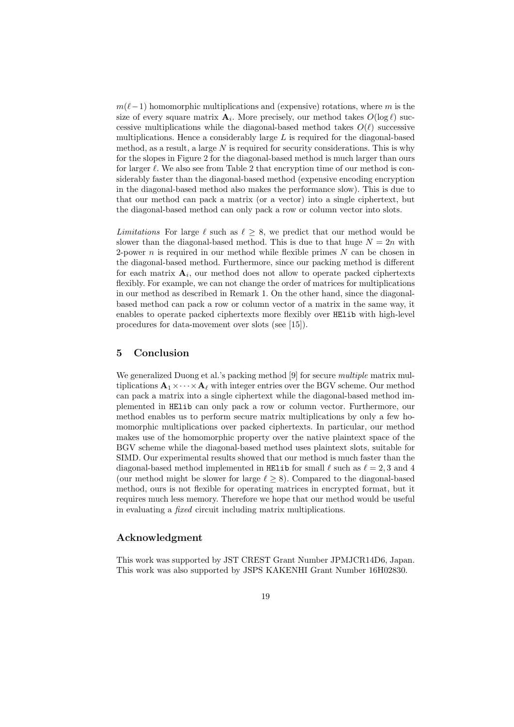$m(\ell-1)$  homomorphic multiplications and (expensive) rotations, where m is the size of every square matrix  $\mathbf{A}_i$ . More precisely, our method takes  $O(\log \ell)$  successive multiplications while the diagonal-based method takes  $O(\ell)$  successive multiplications. Hence a considerably large  $L$  is required for the diagonal-based method, as a result, a large  $N$  is required for security considerations. This is why for the slopes in Figure 2 for the diagonal-based method is much larger than ours for larger  $\ell$ . We also see from Table 2 that encryption time of our method is considerably faster than the diagonal-based method (expensive encoding encryption in the diagonal-based method also makes the performance slow). This is due to that our method can pack a matrix (or a vector) into a single ciphertext, but the diagonal-based method can only pack a row or column vector into slots.

Limitations For large  $\ell$  such as  $\ell > 8$ , we predict that our method would be slower than the diagonal-based method. This is due to that huge  $N = 2n$  with 2-power n is required in our method while flexible primes  $N$  can be chosen in the diagonal-based method. Furthermore, since our packing method is different for each matrix  $A_i$ , our method does not allow to operate packed ciphertexts flexibly. For example, we can not change the order of matrices for multiplications in our method as described in Remark 1. On the other hand, since the diagonalbased method can pack a row or column vector of a matrix in the same way, it enables to operate packed ciphertexts more flexibly over HElib with high-level procedures for data-movement over slots (see [15]).

## 5 Conclusion

We generalized Duong et al.'s packing method [9] for secure *multiple* matrix multiplications  $\mathbf{A}_1 \times \cdots \times \mathbf{A}_\ell$  with integer entries over the BGV scheme. Our method can pack a matrix into a single ciphertext while the diagonal-based method implemented in HElib can only pack a row or column vector. Furthermore, our method enables us to perform secure matrix multiplications by only a few homomorphic multiplications over packed ciphertexts. In particular, our method makes use of the homomorphic property over the native plaintext space of the BGV scheme while the diagonal-based method uses plaintext slots, suitable for SIMD. Our experimental results showed that our method is much faster than the diagonal-based method implemented in HElib for small  $\ell$  such as  $\ell = 2, 3$  and 4 (our method might be slower for large  $\ell > 8$ ). Compared to the diagonal-based method, ours is not flexible for operating matrices in encrypted format, but it requires much less memory. Therefore we hope that our method would be useful in evaluating a fixed circuit including matrix multiplications.

# Acknowledgment

This work was supported by JST CREST Grant Number JPMJCR14D6, Japan. This work was also supported by JSPS KAKENHI Grant Number 16H02830.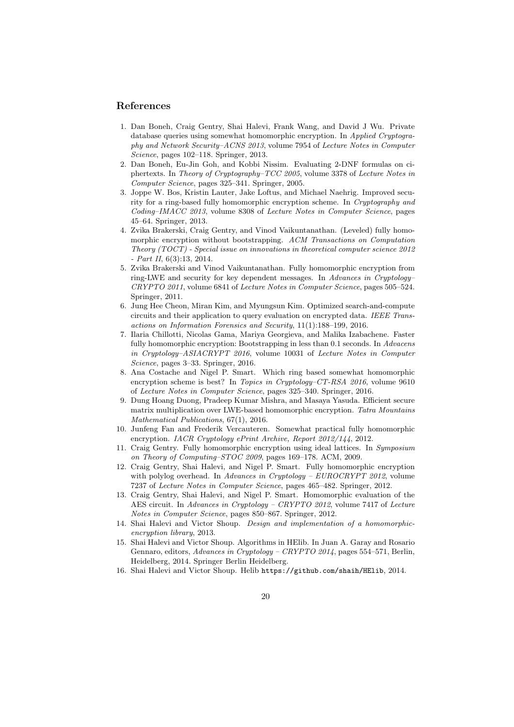#### References

- 1. Dan Boneh, Craig Gentry, Shai Halevi, Frank Wang, and David J Wu. Private database queries using somewhat homomorphic encryption. In Applied Cryptography and Network Security–ACNS 2013, volume 7954 of Lecture Notes in Computer Science, pages 102–118. Springer, 2013.
- 2. Dan Boneh, Eu-Jin Goh, and Kobbi Nissim. Evaluating 2-DNF formulas on ciphertexts. In Theory of Cryptography–TCC 2005, volume 3378 of Lecture Notes in Computer Science, pages 325–341. Springer, 2005.
- 3. Joppe W. Bos, Kristin Lauter, Jake Loftus, and Michael Naehrig. Improved security for a ring-based fully homomorphic encryption scheme. In Cryptography and Coding–IMACC 2013, volume 8308 of Lecture Notes in Computer Science, pages 45–64. Springer, 2013.
- 4. Zvika Brakerski, Craig Gentry, and Vinod Vaikuntanathan. (Leveled) fully homomorphic encryption without bootstrapping. ACM Transactions on Computation Theory (TOCT) - Special issue on innovations in theoretical computer science 2012  $- Part II, 6(3):13, 2014.$
- 5. Zvika Brakerski and Vinod Vaikuntanathan. Fully homomorphic encryption from ring-LWE and security for key dependent messages. In Advances in Cryptology– CRYPTO 2011, volume 6841 of Lecture Notes in Computer Science, pages 505–524. Springer, 2011.
- 6. Jung Hee Cheon, Miran Kim, and Myungsun Kim. Optimized search-and-compute circuits and their application to query evaluation on encrypted data. IEEE Transactions on Information Forensics and Security, 11(1):188–199, 2016.
- 7. Ilaria Chillotti, Nicolas Gama, Mariya Georgieva, and Malika Izabachene. Faster fully homomorphic encryption: Bootstrapping in less than 0.1 seconds. In Advacens in Cryptology–ASIACRYPT 2016, volume 10031 of Lecture Notes in Computer Science, pages 3–33. Springer, 2016.
- 8. Ana Costache and Nigel P. Smart. Which ring based somewhat homomorphic encryption scheme is best? In Topics in Cryptology–CT-RSA 2016, volume 9610 of Lecture Notes in Computer Science, pages 325–340. Springer, 2016.
- 9. Dung Hoang Duong, Pradeep Kumar Mishra, and Masaya Yasuda. Efficient secure matrix multiplication over LWE-based homomorphic encryption. Tatra Mountains Mathematical Publications, 67(1), 2016.
- 10. Junfeng Fan and Frederik Vercauteren. Somewhat practical fully homomorphic encryption. IACR Cryptology ePrint Archive, Report 2012/144, 2012.
- Craig Gentry. Fully homomorphic encryption using ideal lattices. In Symposium on Theory of Computing–STOC 2009, pages 169–178. ACM, 2009.
- 12. Craig Gentry, Shai Halevi, and Nigel P. Smart. Fully homomorphic encryption with polylog overhead. In Advances in Cryptology - EUROCRYPT 2012, volume 7237 of Lecture Notes in Computer Science, pages 465–482. Springer, 2012.
- 13. Craig Gentry, Shai Halevi, and Nigel P. Smart. Homomorphic evaluation of the AES circuit. In Advances in Cryptology – CRYPTO 2012, volume 7417 of Lecture Notes in Computer Science, pages 850–867. Springer, 2012.
- 14. Shai Halevi and Victor Shoup. Design and implementation of a homomorphicencryption library, 2013.
- 15. Shai Halevi and Victor Shoup. Algorithms in HElib. In Juan A. Garay and Rosario Gennaro, editors, Advances in Cryptology – CRYPTO 2014, pages 554–571, Berlin, Heidelberg, 2014. Springer Berlin Heidelberg.
- 16. Shai Halevi and Victor Shoup. Helib https://github.com/shaih/HElib, 2014.